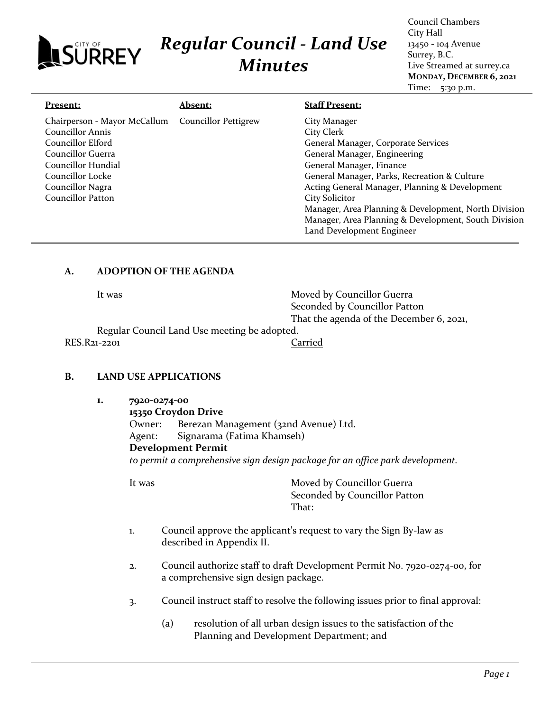# *Regular Council - Land Use Minutes*

Council Chambers City Hall 13450 - 104 Avenue Surrey, B.C. Live Streamed at surrey.ca **MONDAY, DECEMBER 6, 2021** Time: 5:30 p.m.

| Present:                     | <b>Absent:</b>              | <b>Staff Present:</b>                                |
|------------------------------|-----------------------------|------------------------------------------------------|
| Chairperson - Mayor McCallum | <b>Councillor Pettigrew</b> | City Manager                                         |
| Councillor Annis             |                             | City Clerk                                           |
| Councillor Elford            |                             | General Manager, Corporate Services                  |
| Councillor Guerra            |                             | General Manager, Engineering                         |
| Councillor Hundial           |                             | General Manager, Finance                             |
| Councillor Locke             |                             | General Manager, Parks, Recreation & Culture         |
| Councillor Nagra             |                             | Acting General Manager, Planning & Development       |
| Councillor Patton            |                             | <b>City Solicitor</b>                                |
|                              |                             | Manager, Area Planning & Development, North Division |
|                              |                             | Manager, Area Planning & Development, South Division |
|                              |                             | Land Development Engineer                            |

# **A. ADOPTION OF THE AGENDA**

**SÜRREY** 

| It was                                       | Moved by Councillor Guerra               |
|----------------------------------------------|------------------------------------------|
|                                              | Seconded by Councillor Patton            |
|                                              | That the agenda of the December 6, 2021, |
| Regular Council Land Use meeting be adopted. |                                          |
| RES.R21-2201                                 | Carried                                  |
|                                              |                                          |

# **B. LAND USE APPLICATIONS**

**1. 7920-0274-00**

**15350 Croydon Drive** Owner: Berezan Management (32nd Avenue) Ltd. Agent: Signarama (Fatima Khamseh) **Development Permit** *to permit a comprehensive sign design package for an office park development.*

- 1. Council approve the applicant's request to vary the Sign By-law as described in Appendix II.
- 2. Council authorize staff to draft Development Permit No. 7920-0274-00, for a comprehensive sign design package.
- 3. Council instruct staff to resolve the following issues prior to final approval:
	- (a) resolution of all urban design issues to the satisfaction of the Planning and Development Department; and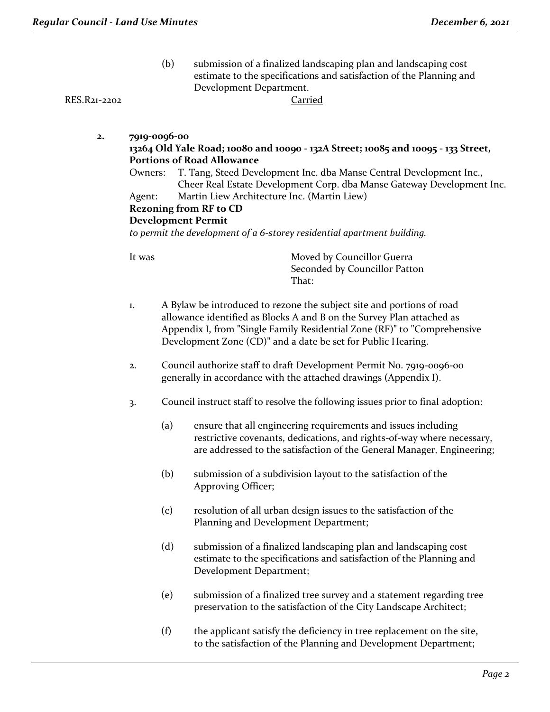(b) submission of a finalized landscaping plan and landscaping cost estimate to the specifications and satisfaction of the Planning and Development Department.

RES.R21-2202 Carried

- **2. 7919-0096-00 13264 Old Yale Road; 10080 and 10090 - 132A Street; 10085 and 10095 - 133 Street, Portions of Road Allowance**
	- Owners: T. Tang, Steed Development Inc. dba Manse Central Development Inc., Cheer Real Estate Development Corp. dba Manse Gateway Development Inc.
	- Agent: Martin Liew Architecture Inc. (Martin Liew)

## **Rezoning from RF to CD**

#### **Development Permit**

*to permit the development of a 6-storey residential apartment building.*

- 1. A Bylaw be introduced to rezone the subject site and portions of road allowance identified as Blocks A and B on the Survey Plan attached as Appendix I, from "Single Family Residential Zone (RF)" to "Comprehensive Development Zone (CD)" and a date be set for Public Hearing.
- 2. Council authorize staff to draft Development Permit No. 7919-0096-00 generally in accordance with the attached drawings (Appendix I).
- 3. Council instruct staff to resolve the following issues prior to final adoption:
	- (a) ensure that all engineering requirements and issues including restrictive covenants, dedications, and rights-of-way where necessary, are addressed to the satisfaction of the General Manager, Engineering;
	- (b) submission of a subdivision layout to the satisfaction of the Approving Officer;
	- (c) resolution of all urban design issues to the satisfaction of the Planning and Development Department;
	- (d) submission of a finalized landscaping plan and landscaping cost estimate to the specifications and satisfaction of the Planning and Development Department;
	- (e) submission of a finalized tree survey and a statement regarding tree preservation to the satisfaction of the City Landscape Architect;
	- (f) the applicant satisfy the deficiency in tree replacement on the site, to the satisfaction of the Planning and Development Department;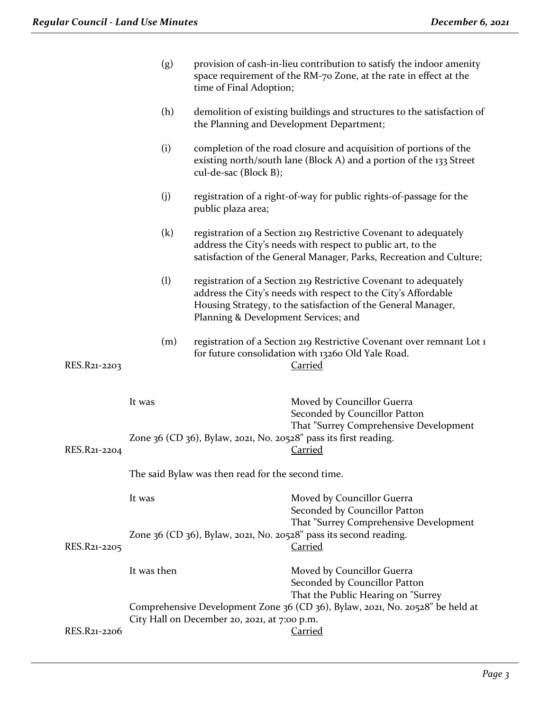|              | (g)                                               | provision of cash-in-lieu contribution to satisfy the indoor amenity<br>space requirement of the RM-70 Zone, at the rate in effect at the<br>time of Final Adoption;                                                                        |  |
|--------------|---------------------------------------------------|---------------------------------------------------------------------------------------------------------------------------------------------------------------------------------------------------------------------------------------------|--|
|              | (h)                                               | demolition of existing buildings and structures to the satisfaction of<br>the Planning and Development Department;                                                                                                                          |  |
|              | (i)                                               | completion of the road closure and acquisition of portions of the<br>existing north/south lane (Block A) and a portion of the 133 Street<br>cul-de-sac (Block B);                                                                           |  |
|              | (j)                                               | registration of a right-of-way for public rights-of-passage for the<br>public plaza area;                                                                                                                                                   |  |
|              | $\left( \mathrm{k}\right)$                        | registration of a Section 219 Restrictive Covenant to adequately<br>address the City's needs with respect to public art, to the<br>satisfaction of the General Manager, Parks, Recreation and Culture;                                      |  |
|              | (1)                                               | registration of a Section 219 Restrictive Covenant to adequately<br>address the City's needs with respect to the City's Affordable<br>Housing Strategy, to the satisfaction of the General Manager,<br>Planning & Development Services; and |  |
| RES.R21-2203 | (m)                                               | registration of a Section 219 Restrictive Covenant over remnant Lot 1<br>for future consolidation with 13260 Old Yale Road.<br><b>Carried</b>                                                                                               |  |
|              | It was                                            | Moved by Councillor Guerra<br>Seconded by Councillor Patton                                                                                                                                                                                 |  |
| RES.R21-2204 |                                                   | That "Surrey Comprehensive Development<br>Zone 36 (CD 36), Bylaw, 2021, No. 20528" pass its first reading.<br><b>Carried</b>                                                                                                                |  |
|              | The said Bylaw was then read for the second time. |                                                                                                                                                                                                                                             |  |
|              | It was                                            | Moved by Councillor Guerra<br>Seconded by Councillor Patton<br>That "Surrey Comprehensive Development                                                                                                                                       |  |
| RES.R21-2205 |                                                   | Zone 36 (CD 36), Bylaw, 2021, No. 20528" pass its second reading.<br>Carried                                                                                                                                                                |  |
|              | It was then                                       | Moved by Councillor Guerra<br>Seconded by Councillor Patton                                                                                                                                                                                 |  |
|              |                                                   | That the Public Hearing on "Surrey<br>Comprehensive Development Zone 36 (CD 36), Bylaw, 2021, No. 20528" be held at<br>City Hall on December 20, 2021, at 7:00 p.m.                                                                         |  |
| RES.R21-2206 |                                                   | <b>Carried</b>                                                                                                                                                                                                                              |  |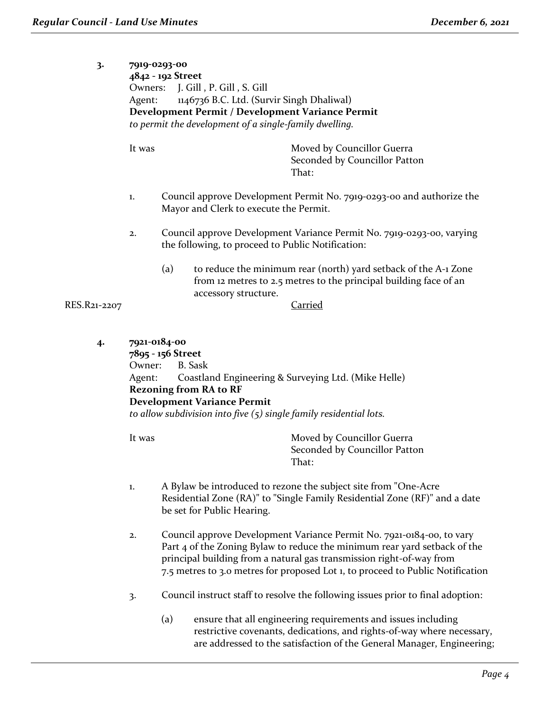| 3.                            | Owners:<br>Agent:  | 7919-0293-00<br>4842 - 192 Street<br>J. Gill, P. Gill, S. Gill<br>1146736 B.C. Ltd. (Survir Singh Dhaliwal)<br>Development Permit / Development Variance Permit<br>to permit the development of a single-family dwelling. |                                                   |                                                                                                                                      |
|-------------------------------|--------------------|---------------------------------------------------------------------------------------------------------------------------------------------------------------------------------------------------------------------------|---------------------------------------------------|--------------------------------------------------------------------------------------------------------------------------------------|
|                               | It was             |                                                                                                                                                                                                                           | That:                                             | Moved by Councillor Guerra<br>Seconded by Councillor Patton                                                                          |
|                               | 1.                 |                                                                                                                                                                                                                           | Mayor and Clerk to execute the Permit.            | Council approve Development Permit No. 7919-0293-00 and authorize the                                                                |
|                               | 2.                 |                                                                                                                                                                                                                           | the following, to proceed to Public Notification: | Council approve Development Variance Permit No. 7919-0293-00, varying                                                                |
| RES.R21-2207                  |                    | (a)                                                                                                                                                                                                                       | accessory structure.<br><u>Carried</u>            | to reduce the minimum rear (north) yard setback of the A-1 Zone<br>from 12 metres to 2.5 metres to the principal building face of an |
| $\mathbf{A}$ and $\mathbf{A}$ | $7021 - 0184 - 00$ |                                                                                                                                                                                                                           |                                                   |                                                                                                                                      |

**4. 7921-0184-00 7895 - 156 Street** Owner: B. Sask Agent: Coastland Engineering & Surveying Ltd. (Mike Helle) **Rezoning from RA to RF Development Variance Permit** *to allow subdivision into five (5) single family residential lots.*

- 1. A Bylaw be introduced to rezone the subject site from "One-Acre Residential Zone (RA)" to "Single Family Residential Zone (RF)" and a date be set for Public Hearing.
- 2. Council approve Development Variance Permit No. 7921-0184-00, to vary Part 4 of the Zoning Bylaw to reduce the minimum rear yard setback of the principal building from a natural gas transmission right-of-way from 7.5 metres to 3.0 metres for proposed Lot 1, to proceed to Public Notification
- 3. Council instruct staff to resolve the following issues prior to final adoption:
	- (a) ensure that all engineering requirements and issues including restrictive covenants, dedications, and rights-of-way where necessary, are addressed to the satisfaction of the General Manager, Engineering;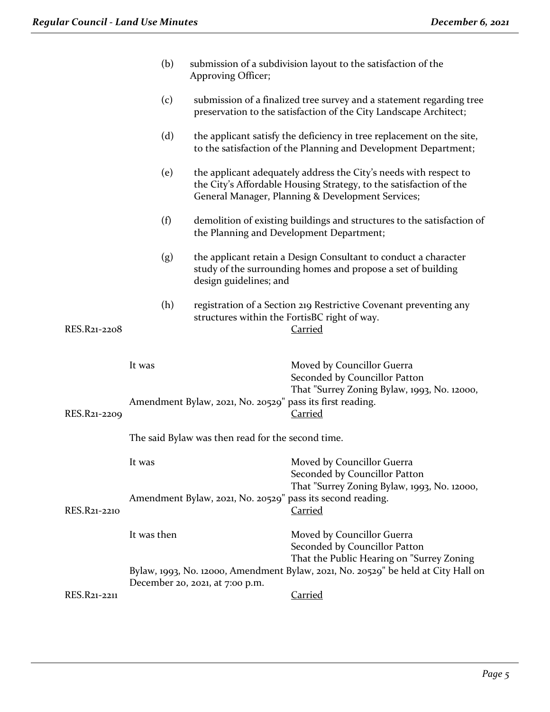|              | (b)         | Approving Officer;                                        | submission of a subdivision layout to the satisfaction of the                                                                                                                                |
|--------------|-------------|-----------------------------------------------------------|----------------------------------------------------------------------------------------------------------------------------------------------------------------------------------------------|
|              | (c)         |                                                           | submission of a finalized tree survey and a statement regarding tree<br>preservation to the satisfaction of the City Landscape Architect;                                                    |
|              | (d)         |                                                           | the applicant satisfy the deficiency in tree replacement on the site,<br>to the satisfaction of the Planning and Development Department;                                                     |
|              | (e)         |                                                           | the applicant adequately address the City's needs with respect to<br>the City's Affordable Housing Strategy, to the satisfaction of the<br>General Manager, Planning & Development Services; |
|              | (f)         |                                                           | demolition of existing buildings and structures to the satisfaction of<br>the Planning and Development Department;                                                                           |
|              | (g)         | design guidelines; and                                    | the applicant retain a Design Consultant to conduct a character<br>study of the surrounding homes and propose a set of building                                                              |
| RES.R21-2208 | (h)         |                                                           | registration of a Section 219 Restrictive Covenant preventing any<br>structures within the FortisBC right of way.<br><b>Carried</b>                                                          |
|              | It was      |                                                           | Moved by Councillor Guerra<br>Seconded by Councillor Patton                                                                                                                                  |
| RES.R21-2209 |             | Amendment Bylaw, 2021, No. 20529" pass its first reading. | That "Surrey Zoning Bylaw, 1993, No. 12000,<br><b>Carried</b>                                                                                                                                |
|              |             | The said Bylaw was then read for the second time.         |                                                                                                                                                                                              |
|              | It was      |                                                           | Moved by Councillor Guerra<br>Seconded by Councillor Patton                                                                                                                                  |
| RES.R21-2210 |             |                                                           | That "Surrey Zoning Bylaw, 1993, No. 12000,<br>Amendment Bylaw, 2021, No. 20529" pass its second reading.<br>Carried                                                                         |
|              | It was then |                                                           | Moved by Councillor Guerra<br>Seconded by Councillor Patton<br>That the Public Hearing on "Surrey Zoning                                                                                     |
|              |             | December 20, 2021, at 7:00 p.m.                           | Bylaw, 1993, No. 12000, Amendment Bylaw, 2021, No. 20529" be held at City Hall on                                                                                                            |
| RES.R21-2211 |             |                                                           | <b>Carried</b>                                                                                                                                                                               |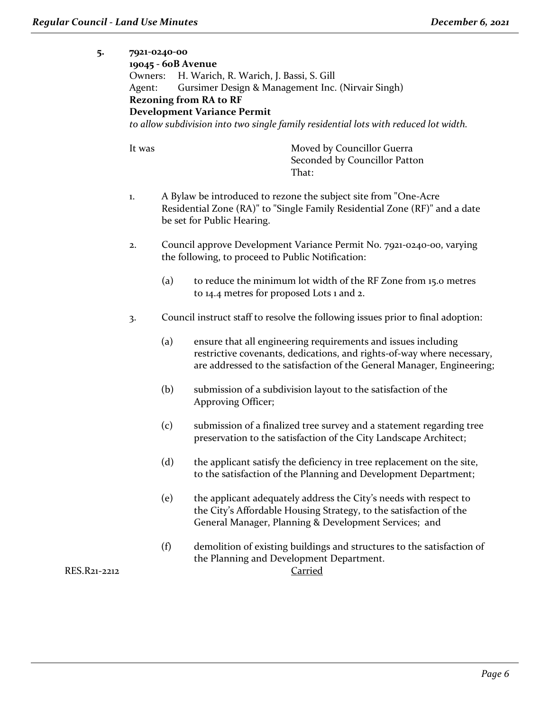| 5.     | 7921-0240-00<br>Owners:<br>Agent: | 19045 - 60B Avenue | H. Warich, R. Warich, J. Bassi, S. Gill<br>Gursimer Design & Management Inc. (Nirvair Singh)<br><b>Rezoning from RA to RF</b><br><b>Development Variance Permit</b><br>to allow subdivision into two single family residential lots with reduced lot width. |  |  |
|--------|-----------------------------------|--------------------|-------------------------------------------------------------------------------------------------------------------------------------------------------------------------------------------------------------------------------------------------------------|--|--|
|        | It was                            |                    | Moved by Councillor Guerra<br>Seconded by Councillor Patton<br>That:                                                                                                                                                                                        |  |  |
|        | 1.                                |                    | A Bylaw be introduced to rezone the subject site from "One-Acre"<br>Residential Zone (RA)" to "Single Family Residential Zone (RF)" and a date<br>be set for Public Hearing.                                                                                |  |  |
|        | 2.                                |                    | Council approve Development Variance Permit No. 7921-0240-00, varying<br>the following, to proceed to Public Notification:                                                                                                                                  |  |  |
|        |                                   | (a)                | to reduce the minimum lot width of the RF Zone from 15.0 metres<br>to 14.4 metres for proposed Lots 1 and 2.                                                                                                                                                |  |  |
|        | 3.                                |                    | Council instruct staff to resolve the following issues prior to final adoption:                                                                                                                                                                             |  |  |
|        |                                   | (a)                | ensure that all engineering requirements and issues including<br>restrictive covenants, dedications, and rights-of-way where necessary,<br>are addressed to the satisfaction of the General Manager, Engineering;                                           |  |  |
|        |                                   | (b)                | submission of a subdivision layout to the satisfaction of the<br>Approving Officer;                                                                                                                                                                         |  |  |
|        |                                   | (c)                | submission of a finalized tree survey and a statement regarding tree<br>preservation to the satisfaction of the City Landscape Architect;                                                                                                                   |  |  |
|        |                                   | (d)                | the applicant satisfy the deficiency in tree replacement on the site,<br>to the satisfaction of the Planning and Development Department;                                                                                                                    |  |  |
|        |                                   | (e)                | the applicant adequately address the City's needs with respect to<br>the City's Affordable Housing Strategy, to the satisfaction of the<br>General Manager, Planning & Development Services; and                                                            |  |  |
| 1-2212 |                                   | (f)                | demolition of existing buildings and structures to the satisfaction of<br>the Planning and Development Department.<br>Carried                                                                                                                               |  |  |

RES.R21-22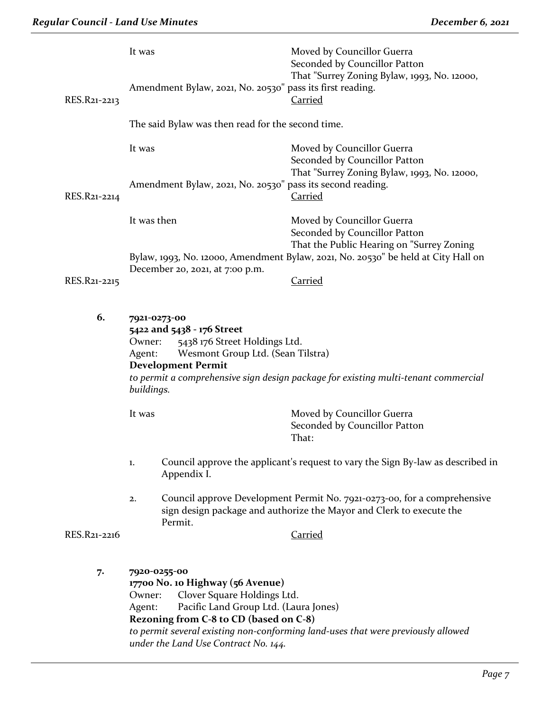|              | It was                                                                                                                                                                                                                                                                | Moved by Councillor Guerra<br>Seconded by Councillor Patton                                                                                      |  |
|--------------|-----------------------------------------------------------------------------------------------------------------------------------------------------------------------------------------------------------------------------------------------------------------------|--------------------------------------------------------------------------------------------------------------------------------------------------|--|
| RES.R21-2213 | Amendment Bylaw, 2021, No. 20530" pass its first reading.                                                                                                                                                                                                             | That "Surrey Zoning Bylaw, 1993, No. 12000,<br><b>Carried</b>                                                                                    |  |
|              | The said Bylaw was then read for the second time.                                                                                                                                                                                                                     |                                                                                                                                                  |  |
|              | It was                                                                                                                                                                                                                                                                | Moved by Councillor Guerra<br>Seconded by Councillor Patton                                                                                      |  |
| RES.R21-2214 | Amendment Bylaw, 2021, No. 20530" pass its second reading.                                                                                                                                                                                                            | That "Surrey Zoning Bylaw, 1993, No. 12000,<br><b>Carried</b>                                                                                    |  |
|              | It was then                                                                                                                                                                                                                                                           | Moved by Councillor Guerra<br>Seconded by Councillor Patton                                                                                      |  |
|              |                                                                                                                                                                                                                                                                       | That the Public Hearing on "Surrey Zoning<br>Bylaw, 1993, No. 12000, Amendment Bylaw, 2021, No. 20530" be held at City Hall on                   |  |
| RES.R21-2215 | December 20, 2021, at 7:00 p.m.                                                                                                                                                                                                                                       | Carried                                                                                                                                          |  |
| 6.           | 7921-0273-00<br>5422 and 5438 - 176 Street<br>5438 176 Street Holdings Ltd.<br>Owner:<br>Wesmont Group Ltd. (Sean Tilstra)<br>Agent:<br><b>Development Permit</b><br>to permit a comprehensive sign design package for existing multi-tenant commercial<br>buildings. |                                                                                                                                                  |  |
|              | It was                                                                                                                                                                                                                                                                | Moved by Councillor Guerra<br>Seconded by Councillor Patton<br>That:                                                                             |  |
|              | 1.<br>Appendix I.                                                                                                                                                                                                                                                     | Council approve the applicant's request to vary the Sign By-law as described in                                                                  |  |
|              | 2.<br>Permit.                                                                                                                                                                                                                                                         | Council approve Development Permit No. 7921-0273-00, for a comprehensive<br>sign design package and authorize the Mayor and Clerk to execute the |  |
| RES.R21-2216 |                                                                                                                                                                                                                                                                       | <b>Carried</b>                                                                                                                                   |  |
| 7.           | 7920-0255-00<br>17700 No. 10 Highway (56 Avenue)<br>Clover Square Holdings Ltd.<br>Owner:<br>Pacific Land Group Ltd. (Laura Jones)<br>Agent:<br>Rezoning from C-8 to CD (based on C-8)                                                                                |                                                                                                                                                  |  |

*to permit several existing non-conforming land-uses that were previously allowed under the Land Use Contract No. 144.*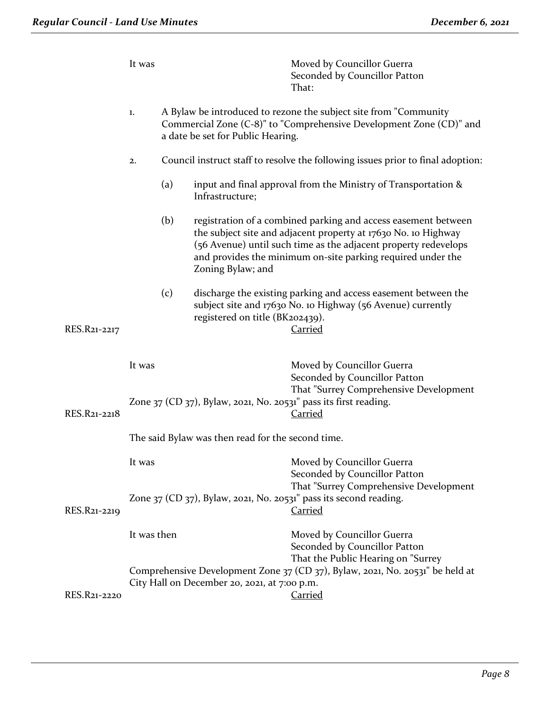|              | It was                                            |     |                                              | Moved by Councillor Guerra<br>Seconded by Councillor Patton<br>That:                                                                                                                                                                                               |
|--------------|---------------------------------------------------|-----|----------------------------------------------|--------------------------------------------------------------------------------------------------------------------------------------------------------------------------------------------------------------------------------------------------------------------|
|              | 1.                                                |     | a date be set for Public Hearing.            | A Bylaw be introduced to rezone the subject site from "Community<br>Commercial Zone (C-8)" to "Comprehensive Development Zone (CD)" and                                                                                                                            |
|              | 2.                                                |     |                                              | Council instruct staff to resolve the following issues prior to final adoption:                                                                                                                                                                                    |
|              |                                                   | (a) | Infrastructure;                              | input and final approval from the Ministry of Transportation &                                                                                                                                                                                                     |
|              |                                                   | (b) | Zoning Bylaw; and                            | registration of a combined parking and access easement between<br>the subject site and adjacent property at 17630 No. 10 Highway<br>(56 Avenue) until such time as the adjacent property redevelops<br>and provides the minimum on-site parking required under the |
| RES.R21-2217 |                                                   | (c) | registered on title (BK202439).              | discharge the existing parking and access easement between the<br>subject site and 17630 No. 10 Highway (56 Avenue) currently<br><b>Carried</b>                                                                                                                    |
|              | It was                                            |     |                                              | Moved by Councillor Guerra<br>Seconded by Councillor Patton<br>That "Surrey Comprehensive Development                                                                                                                                                              |
| RES.R21-2218 |                                                   |     |                                              | Zone 37 (CD 37), Bylaw, 2021, No. 20531" pass its first reading.<br><b>Carried</b>                                                                                                                                                                                 |
|              | The said Bylaw was then read for the second time. |     |                                              |                                                                                                                                                                                                                                                                    |
|              | It was                                            |     |                                              | Moved by Councillor Guerra<br>Seconded by Councillor Patton<br>That "Surrey Comprehensive Development                                                                                                                                                              |
| RES.R21-2219 |                                                   |     |                                              | Zone $37$ (CD $37$ ), Bylaw, 2021, No. 20531" pass its second reading.<br><b>Carried</b>                                                                                                                                                                           |
|              | It was then                                       |     |                                              | Moved by Councillor Guerra<br>Seconded by Councillor Patton                                                                                                                                                                                                        |
| RES.R21-2220 |                                                   |     | City Hall on December 20, 2021, at 7:00 p.m. | That the Public Hearing on "Surrey<br>Comprehensive Development Zone 37 (CD 37), Bylaw, 2021, No. 20531" be held at<br><b>Carried</b>                                                                                                                              |
|              |                                                   |     |                                              |                                                                                                                                                                                                                                                                    |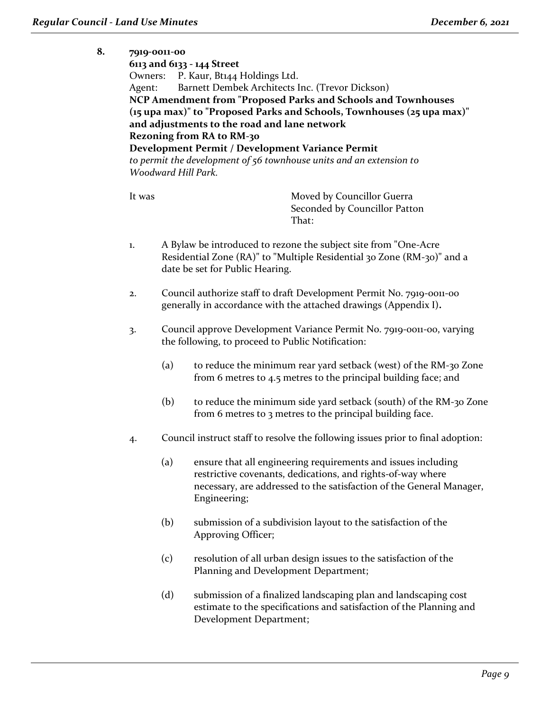#### **8. 7919-0011-00**

**6113 and 6133 - 144 Street** Owners: P. Kaur, Bt144 Holdings Ltd. Agent: Barnett Dembek Architects Inc. (Trevor Dickson) **NCP Amendment from "Proposed Parks and Schools and Townhouses (15 upa max)" to "Proposed Parks and Schools, Townhouses (25 upa max)" and adjustments to the road and lane network Rezoning from RA to RM-30 Development Permit / Development Variance Permit** *to permit the development of 56 townhouse units and an extension to Woodward Hill Park.*

- 1. A Bylaw be introduced to rezone the subject site from "One-Acre Residential Zone (RA)" to "Multiple Residential 30 Zone (RM-30)" and a date be set for Public Hearing.
- 2. Council authorize staff to draft Development Permit No. 7919-0011-00 generally in accordance with the attached drawings (Appendix I)**.**
- 3. Council approve Development Variance Permit No. 7919-0011-00, varying the following, to proceed to Public Notification:
	- (a) to reduce the minimum rear yard setback (west) of the RM-30 Zone from 6 metres to 4.5 metres to the principal building face; and
	- (b) to reduce the minimum side yard setback (south) of the RM-30 Zone from 6 metres to 3 metres to the principal building face.
- 4. Council instruct staff to resolve the following issues prior to final adoption:
	- (a) ensure that all engineering requirements and issues including restrictive covenants, dedications, and rights-of-way where necessary, are addressed to the satisfaction of the General Manager, Engineering;
	- (b) submission of a subdivision layout to the satisfaction of the Approving Officer;
	- (c) resolution of all urban design issues to the satisfaction of the Planning and Development Department;
	- (d) submission of a finalized landscaping plan and landscaping cost estimate to the specifications and satisfaction of the Planning and Development Department;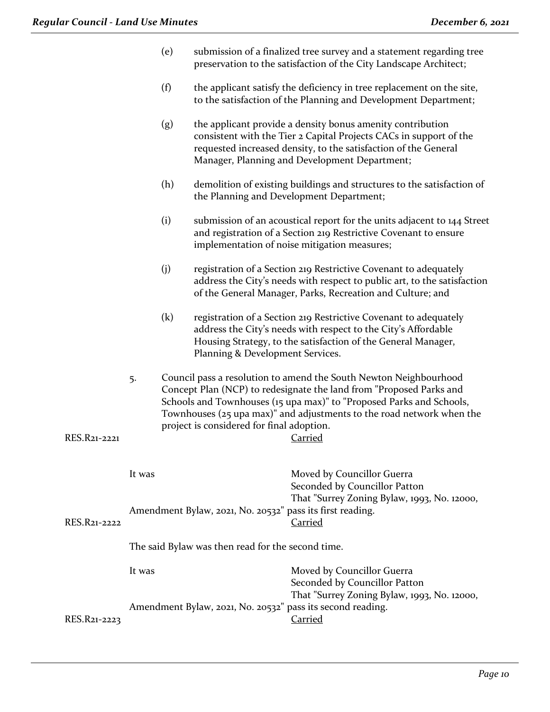| (e) | submission of a finalized tree survey and a statement regarding tree |
|-----|----------------------------------------------------------------------|
|     | preservation to the satisfaction of the City Landscape Architect;    |

- (f) the applicant satisfy the deficiency in tree replacement on the site, to the satisfaction of the Planning and Development Department;
- (g) the applicant provide a density bonus amenity contribution consistent with the Tier 2 Capital Projects CACs in support of the requested increased density, to the satisfaction of the General Manager, Planning and Development Department;
- (h) demolition of existing buildings and structures to the satisfaction of the Planning and Development Department;
- (i) submission of an acoustical report for the units adjacent to 144 Street and registration of a Section 219 Restrictive Covenant to ensure implementation of noise mitigation measures;
- (j) registration of a Section 219 Restrictive Covenant to adequately address the City's needs with respect to public art, to the satisfaction of the General Manager, Parks, Recreation and Culture; and
- (k) registration of a Section 219 Restrictive Covenant to adequately address the City's needs with respect to the City's Affordable Housing Strategy, to the satisfaction of the General Manager, Planning & Development Services.
- 5. Council pass a resolution to amend the South Newton Neighbourhood Concept Plan (NCP) to redesignate the land from "Proposed Parks and Schools and Townhouses (15 upa max)" to "Proposed Parks and Schools, Townhouses (25 upa max)" and adjustments to the road network when the project is considered for final adoption.

# RES.R21-2221 Carried It was **Moved by Councillor Guerra** Seconded by Councillor Patton That "Surrey Zoning Bylaw, 1993, No. 12000, Amendment Bylaw, 2021, No. 20532" pass its first reading. RES.R21-2222 Carried The said Bylaw was then read for the second time. It was Moved by Councillor Guerra Seconded by Councillor Patton That "Surrey Zoning Bylaw, 1993, No. 12000, Amendment Bylaw, 2021, No. 20532" pass its second reading. RES.R21-2223 Carried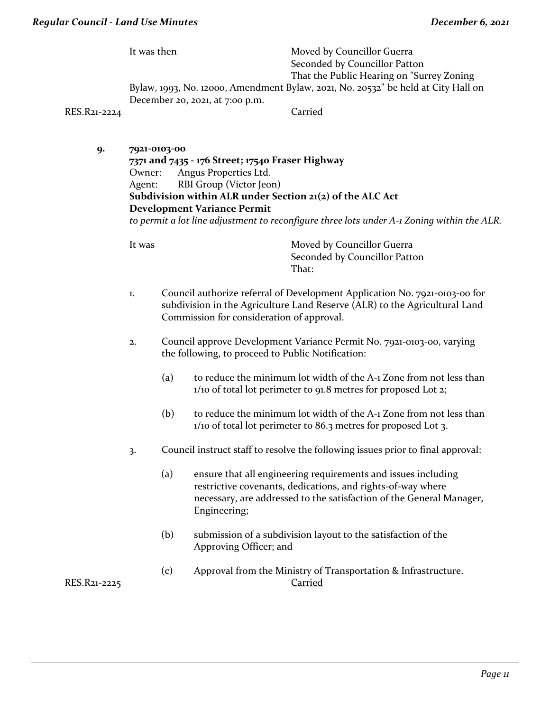It was then Moved by Councillor Guerra Seconded by Councillor Patton That the Public Hearing on "Surrey Zoning Bylaw, 1993, No. 12000, Amendment Bylaw, 2021, No. 20532" be held at City Hall on December 20, 2021, at 7:00 p.m.

RES.R21-2224 Carried

**9. 7921-0103-00 7371 and 7435 - 176 Street; 17540 Fraser Highway** Owner: Angus Properties Ltd. Agent: RBI Group (Victor Jeon) **Subdivision within ALR under Section 21(2) of the ALC Act Development Variance Permit**

*to permit a lot line adjustment to reconfigure three lots under A-1 Zoning within the ALR.*

- 1. Council authorize referral of Development Application No. 7921-0103-00 for subdivision in the Agriculture Land Reserve (ALR) to the Agricultural Land Commission for consideration of approval.
- 2. Council approve Development Variance Permit No. 7921-0103-00, varying the following, to proceed to Public Notification:
	- (a) to reduce the minimum lot width of the  $A-1$  Zone from not less than 1/10 of total lot perimeter to 91.8 metres for proposed Lot 2;
	- (b) to reduce the minimum lot width of the A-1 Zone from not less than 1/10 of total lot perimeter to 86.3 metres for proposed Lot 3.
- 3. Council instruct staff to resolve the following issues prior to final approval:
	- (a) ensure that all engineering requirements and issues including restrictive covenants, dedications, and rights-of-way where necessary, are addressed to the satisfaction of the General Manager, Engineering;
	- (b) submission of a subdivision layout to the satisfaction of the Approving Officer; and
- (c) Approval from the Ministry of Transportation & Infrastructure. RES.R21-2225 Carried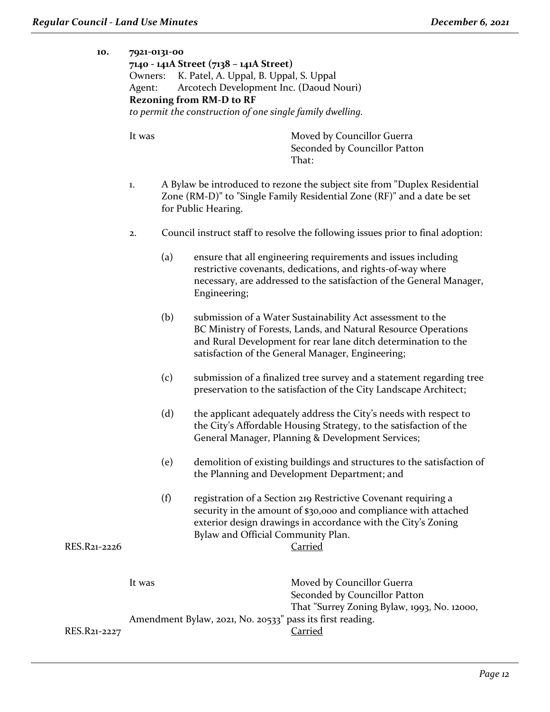#### **10. 7921-0131-00**

**7140 - 141A Street (7138 – 141A Street)** Owners: K. Patel, A. Uppal, B. Uppal, S. Uppal Agent: Arcotech Development Inc. (Daoud Nouri) **Rezoning from RM-D to RF** *to permit the construction of one single family dwelling.*

- 1. A Bylaw be introduced to rezone the subject site from "Duplex Residential Zone (RM-D)" to "Single Family Residential Zone (RF)" and a date be set for Public Hearing.
- 2. Council instruct staff to resolve the following issues prior to final adoption:
	- (a) ensure that all engineering requirements and issues including restrictive covenants, dedications, and rights-of-way where necessary, are addressed to the satisfaction of the General Manager, Engineering;
	- (b) submission of a Water Sustainability Act assessment to the BC Ministry of Forests, Lands, and Natural Resource Operations and Rural Development for rear lane ditch determination to the satisfaction of the General Manager, Engineering;
	- (c) submission of a finalized tree survey and a statement regarding tree preservation to the satisfaction of the City Landscape Architect;
	- (d) the applicant adequately address the City's needs with respect to the City's Affordable Housing Strategy, to the satisfaction of the General Manager, Planning & Development Services;
	- (e) demolition of existing buildings and structures to the satisfaction of the Planning and Development Department; and
	- (f) registration of a Section 219 Restrictive Covenant requiring a security in the amount of \$30,000 and compliance with attached exterior design drawings in accordance with the City's Zoning Bylaw and Official Community Plan.

```
RES.R21-2226 Carried
```

|              | It was                                                    | Moved by Councillor Guerra                  |
|--------------|-----------------------------------------------------------|---------------------------------------------|
|              |                                                           | Seconded by Councillor Patton               |
|              |                                                           | That "Surrey Zoning Bylaw, 1993, No. 12000, |
|              | Amendment Bylaw, 2021, No. 20533" pass its first reading. |                                             |
| RES.R21-2227 |                                                           | Carried                                     |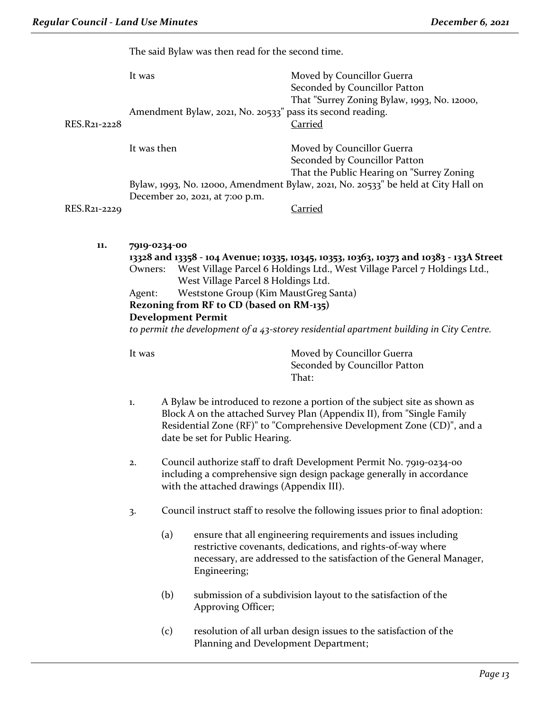The said Bylaw was then read for the second time.

|              |                   | The said Bylaw was then read for the second time.                                                                                                     |                                                                                                                                                                                                                                                                 |  |
|--------------|-------------------|-------------------------------------------------------------------------------------------------------------------------------------------------------|-----------------------------------------------------------------------------------------------------------------------------------------------------------------------------------------------------------------------------------------------------------------|--|
|              | It was            |                                                                                                                                                       | Moved by Councillor Guerra<br>Seconded by Councillor Patton                                                                                                                                                                                                     |  |
| RES.R21-2228 |                   | Amendment Bylaw, 2021, No. 20533" pass its second reading.                                                                                            | That "Surrey Zoning Bylaw, 1993, No. 12000,<br><b>Carried</b>                                                                                                                                                                                                   |  |
|              | It was then       |                                                                                                                                                       | Moved by Councillor Guerra<br>Seconded by Councillor Patton<br>That the Public Hearing on "Surrey Zoning                                                                                                                                                        |  |
|              |                   |                                                                                                                                                       | Bylaw, 1993, No. 12000, Amendment Bylaw, 2021, No. 20533" be held at City Hall on                                                                                                                                                                               |  |
|              |                   | December 20, 2021, at 7:00 p.m.                                                                                                                       |                                                                                                                                                                                                                                                                 |  |
| RES.R21-2229 |                   |                                                                                                                                                       | <b>Carried</b>                                                                                                                                                                                                                                                  |  |
|              | Owners:<br>Agent: | West Village Parcel 8 Holdings Ltd.<br>Weststone Group (Kim MaustGreg Santa)<br>Rezoning from RF to CD (based on RM-135)<br><b>Development Permit</b> | 13328 and 13358 - 104 Avenue; 10335, 10345, 10353, 10363, 10373 and 10383 - 133A Street<br>West Village Parcel 6 Holdings Ltd., West Village Parcel 7 Holdings Ltd.,<br>to permit the development of a 43-storey residential apartment building in City Centre. |  |
|              | It was            |                                                                                                                                                       | Moved by Councillor Guerra<br>Seconded by Councillor Patton<br>That:                                                                                                                                                                                            |  |
|              | 1.                | date be set for Public Hearing.                                                                                                                       | A Bylaw be introduced to rezone a portion of the subject site as shown as<br>Block A on the attached Survey Plan (Appendix II), from "Single Family<br>Residential Zone (RF)" to "Comprehensive Development Zone (CD)", and a                                   |  |
|              | 2.                | with the attached drawings (Appendix III).                                                                                                            | Council authorize staff to draft Development Permit No. 7919-0234-00<br>including a comprehensive sign design package generally in accordance                                                                                                                   |  |
|              | 3.                |                                                                                                                                                       | Council instruct staff to resolve the following issues prior to final adoption:                                                                                                                                                                                 |  |

- (a) ensure that all engineering requirements and issues including restrictive covenants, dedications, and rights-of-way where necessary, are addressed to the satisfaction of the General Manager, Engineering;
- (b) submission of a subdivision layout to the satisfaction of the Approving Officer;
- (c) resolution of all urban design issues to the satisfaction of the Planning and Development Department;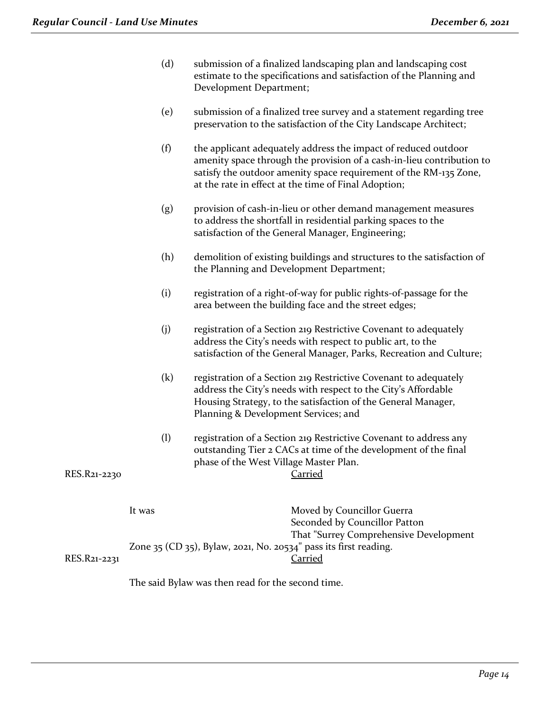- (d) submission of a finalized landscaping plan and landscaping cost estimate to the specifications and satisfaction of the Planning and Development Department;
- (e) submission of a finalized tree survey and a statement regarding tree preservation to the satisfaction of the City Landscape Architect;
- (f) the applicant adequately address the impact of reduced outdoor amenity space through the provision of a cash-in-lieu contribution to satisfy the outdoor amenity space requirement of the RM-135 Zone, at the rate in effect at the time of Final Adoption;
- (g) provision of cash-in-lieu or other demand management measures to address the shortfall in residential parking spaces to the satisfaction of the General Manager, Engineering;
- (h) demolition of existing buildings and structures to the satisfaction of the Planning and Development Department;
- (i) registration of a right-of-way for public rights-of-passage for the area between the building face and the street edges;
- (j) registration of a Section 219 Restrictive Covenant to adequately address the City's needs with respect to public art, to the satisfaction of the General Manager, Parks, Recreation and Culture;
- (k) registration of a Section 219 Restrictive Covenant to adequately address the City's needs with respect to the City's Affordable Housing Strategy, to the satisfaction of the General Manager, Planning & Development Services; and
- (l) registration of a Section 219 Restrictive Covenant to address any outstanding Tier 2 CACs at time of the development of the final phase of the West Village Master Plan. RES.R21-2230 Carried

|              | It was                                                                | Moved by Councillor Guerra             |
|--------------|-----------------------------------------------------------------------|----------------------------------------|
|              |                                                                       | Seconded by Councillor Patton          |
|              |                                                                       | That "Surrey Comprehensive Development |
|              | Zone $35$ (CD $35$ ), Bylaw, 2021, No. 20534" pass its first reading. |                                        |
| RES.R21-2231 |                                                                       | Carried                                |

The said Bylaw was then read for the second time.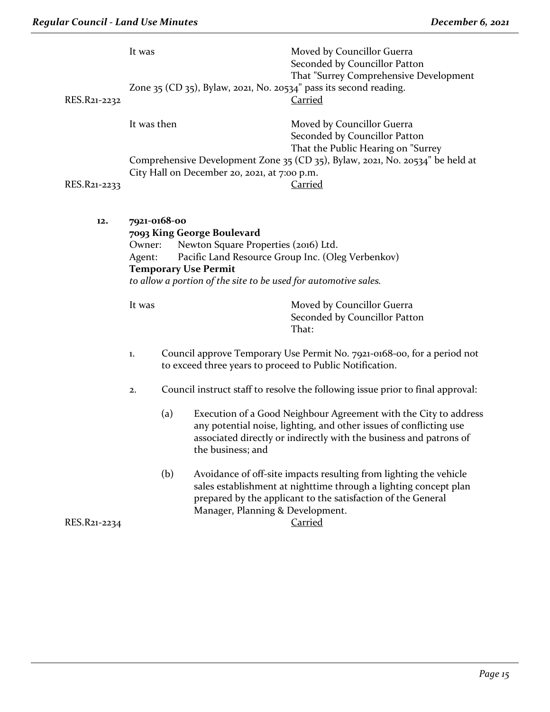| RES.R21-2232 | Moved by Councillor Guerra<br>It was<br>Seconded by Councillor Patton<br>Zone 35 (CD 35), Bylaw, 2021, No. 20534" pass its second reading.<br><u>Carried</u>                                                                                                  |                                                                                                                                                 |                                                                                                                                                                                                                                   | That "Surrey Comprehensive Development                                                                                                                                                                                  |  |
|--------------|---------------------------------------------------------------------------------------------------------------------------------------------------------------------------------------------------------------------------------------------------------------|-------------------------------------------------------------------------------------------------------------------------------------------------|-----------------------------------------------------------------------------------------------------------------------------------------------------------------------------------------------------------------------------------|-------------------------------------------------------------------------------------------------------------------------------------------------------------------------------------------------------------------------|--|
|              | It was then                                                                                                                                                                                                                                                   |                                                                                                                                                 |                                                                                                                                                                                                                                   | Moved by Councillor Guerra<br>Seconded by Councillor Patton<br>That the Public Hearing on "Surrey                                                                                                                       |  |
| RES.R21-2233 |                                                                                                                                                                                                                                                               | Comprehensive Development Zone 35 (CD 35), Bylaw, 2021, No. 20534" be held at<br>City Hall on December 20, 2021, at 7:00 p.m.<br><b>Carried</b> |                                                                                                                                                                                                                                   |                                                                                                                                                                                                                         |  |
| 12.          | 7921-0168-00<br>7093 King George Boulevard<br>Newton Square Properties (2016) Ltd.<br>Owner:<br>Pacific Land Resource Group Inc. (Oleg Verbenkov)<br>Agent:<br><b>Temporary Use Permit</b><br>to allow a portion of the site to be used for automotive sales. |                                                                                                                                                 |                                                                                                                                                                                                                                   |                                                                                                                                                                                                                         |  |
|              | It was                                                                                                                                                                                                                                                        |                                                                                                                                                 | Moved by Councillor Guerra<br>Seconded by Councillor Patton<br>That:                                                                                                                                                              |                                                                                                                                                                                                                         |  |
|              | 1.                                                                                                                                                                                                                                                            |                                                                                                                                                 | Council approve Temporary Use Permit No. 7921-0168-00, for a period not<br>to exceed three years to proceed to Public Notification.                                                                                               |                                                                                                                                                                                                                         |  |
|              | 2.                                                                                                                                                                                                                                                            |                                                                                                                                                 | Council instruct staff to resolve the following issue prior to final approval:                                                                                                                                                    |                                                                                                                                                                                                                         |  |
|              |                                                                                                                                                                                                                                                               | (a)                                                                                                                                             | Execution of a Good Neighbour Agreement with the City to address<br>any potential noise, lighting, and other issues of conflicting use<br>associated directly or indirectly with the business and patrons of<br>the business; and |                                                                                                                                                                                                                         |  |
| RES.R21-2234 |                                                                                                                                                                                                                                                               | (b)                                                                                                                                             | Manager, Planning & Development.                                                                                                                                                                                                  | Avoidance of off-site impacts resulting from lighting the vehicle<br>sales establishment at nighttime through a lighting concept plan<br>prepared by the applicant to the satisfaction of the General<br><b>Carried</b> |  |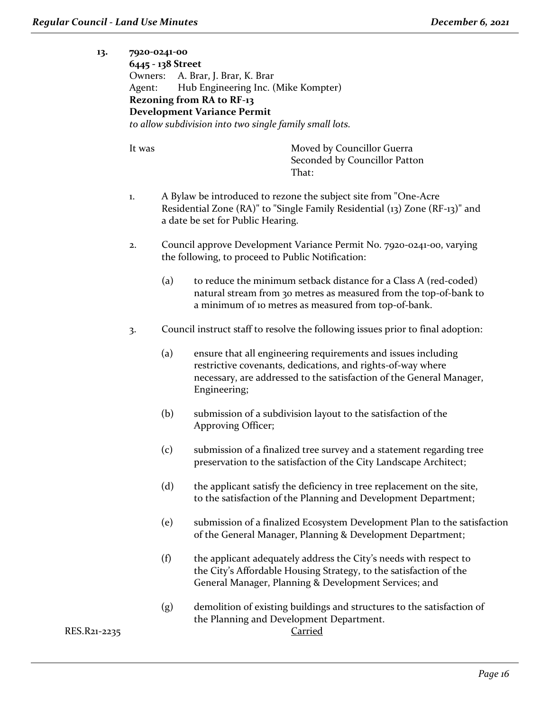# **13. 7920-0241-00 6445 - 138 Street** Owners: A. Brar, J. Brar, K. Brar Agent: Hub Engineering Inc. (Mike Kompter) **Rezoning from RA to RF-13 Development Variance Permit** *to allow subdivision into two single family small lots.*

It was **Moved by Councillor Guerra** Seconded by Councillor Patton That:

- 1. A Bylaw be introduced to rezone the subject site from "One-Acre Residential Zone (RA)" to "Single Family Residential (13) Zone (RF-13)" and a date be set for Public Hearing.
- 2. Council approve Development Variance Permit No. 7920-0241-00, varying the following, to proceed to Public Notification:
	- (a) to reduce the minimum setback distance for a Class A (red-coded) natural stream from 30 metres as measured from the top-of-bank to a minimum of 10 metres as measured from top-of-bank.
- 3. Council instruct staff to resolve the following issues prior to final adoption:
	- (a) ensure that all engineering requirements and issues including restrictive covenants, dedications, and rights-of-way where necessary, are addressed to the satisfaction of the General Manager, Engineering;
	- (b) submission of a subdivision layout to the satisfaction of the Approving Officer;
	- (c) submission of a finalized tree survey and a statement regarding tree preservation to the satisfaction of the City Landscape Architect;
	- (d) the applicant satisfy the deficiency in tree replacement on the site, to the satisfaction of the Planning and Development Department;
	- (e) submission of a finalized Ecosystem Development Plan to the satisfaction of the General Manager, Planning & Development Department;
	- (f) the applicant adequately address the City's needs with respect to the City's Affordable Housing Strategy, to the satisfaction of the General Manager, Planning & Development Services; and
	- (g) demolition of existing buildings and structures to the satisfaction of the Planning and Development Department.

RES.R21-2235 Carried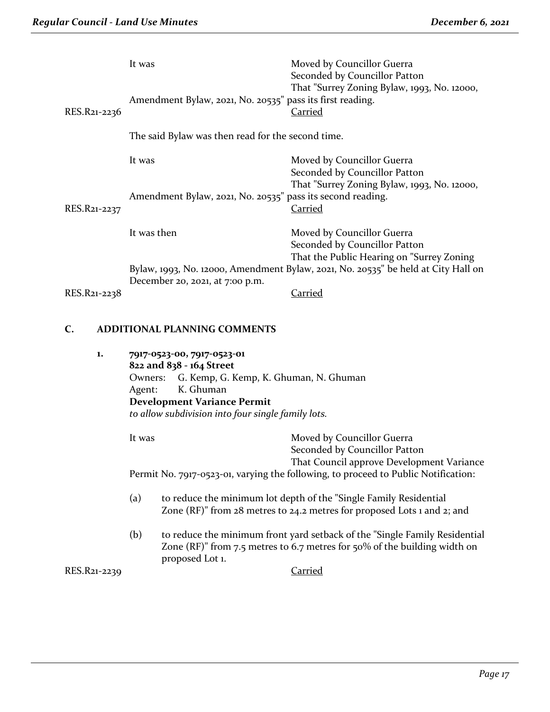|              | It was                                                     | Moved by Councillor Guerra<br>Seconded by Councillor Patton                                              |  |
|--------------|------------------------------------------------------------|----------------------------------------------------------------------------------------------------------|--|
| RES.R21-2236 | Amendment Bylaw, 2021, No. 20535" pass its first reading.  | That "Surrey Zoning Bylaw, 1993, No. 12000,<br><b>Carried</b>                                            |  |
|              | The said Bylaw was then read for the second time.          |                                                                                                          |  |
|              | It was                                                     | Moved by Councillor Guerra<br>Seconded by Councillor Patton                                              |  |
| RES.R21-2237 | Amendment Bylaw, 2021, No. 20535" pass its second reading. | That "Surrey Zoning Bylaw, 1993, No. 12000,<br><b>Carried</b>                                            |  |
|              | It was then                                                | Moved by Councillor Guerra<br>Seconded by Councillor Patton<br>That the Public Hearing on "Surrey Zoning |  |
|              | December 20, 2021, at 7:00 p.m.                            | Bylaw, 1993, No. 12000, Amendment Bylaw, 2021, No. 20535" be held at City Hall on                        |  |
| RES.R21-2238 |                                                            | <u>Carried</u>                                                                                           |  |
|              | ADDITIONAL DI ANNING COMMENTS                              |                                                                                                          |  |

# **C. ADDITIONAL PLANNING COMMENTS**

| ı. |        | 7917-0523-00, 7917-0523-01<br>822 and 838 - 164 Street                             |  |  |  |
|----|--------|------------------------------------------------------------------------------------|--|--|--|
|    |        |                                                                                    |  |  |  |
|    |        | Owners: G. Kemp, G. Kemp, K. Ghuman, N. Ghuman                                     |  |  |  |
|    | Agent: | K. Ghuman                                                                          |  |  |  |
|    |        | <b>Development Variance Permit</b>                                                 |  |  |  |
|    |        | to allow subdivision into four single family lots.                                 |  |  |  |
|    | It was | Moved by Councillor Guerra                                                         |  |  |  |
|    |        | Seconded by Councillor Patton                                                      |  |  |  |
|    |        | That Council approve Development Variance                                          |  |  |  |
|    |        | Permit No. 7917-0523-01, varying the following, to proceed to Public Notification: |  |  |  |
|    | (a)    | to reduce the minimum lot depth of the "Single Family Residential                  |  |  |  |
|    |        | Zone (RF)" from $28$ metres to $24.2$ metres for proposed Lots 1 and $2$ ; and     |  |  |  |
|    |        | $(1)$ . In the c, in Indicate in the line                                          |  |  |  |

(b) to reduce the minimum front yard setback of the "Single Family Residential Zone (RF)" from 7.5 metres to 6.7 metres for 50% of the building width on proposed Lot 1.

RES.R21-2239 Carried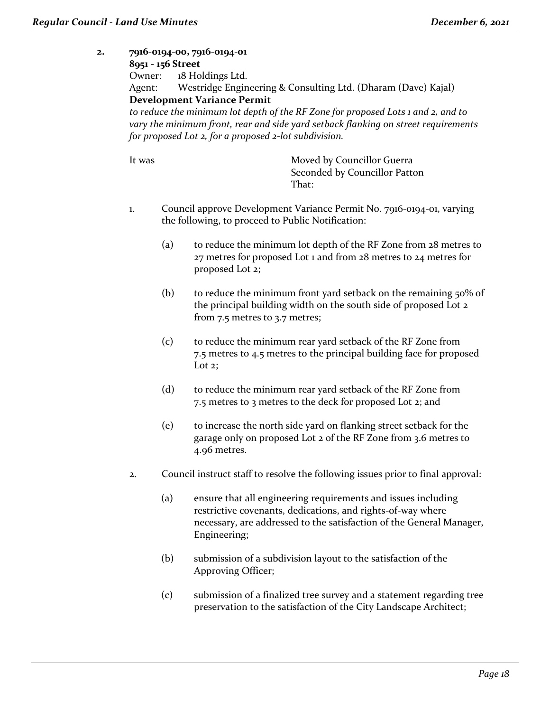**2. 7916-0194-00, 7916-0194-01 8951 - 156 Street** Owner: 18 Holdings Ltd. Agent: Westridge Engineering & Consulting Ltd. (Dharam (Dave) Kajal) **Development Variance Permit** *to reduce the minimum lot depth of the RF Zone for proposed Lots 1 and 2, and to vary the minimum front, rear and side yard setback flanking on street requirements for proposed Lot 2, for a proposed 2-lot subdivision.* It was Moved by Councillor Guerra Seconded by Councillor Patton That: 1. Council approve Development Variance Permit No. 7916-0194-01, varying the following, to proceed to Public Notification: (a) to reduce the minimum lot depth of the RF Zone from 28 metres to 27 metres for proposed Lot 1 and from 28 metres to 24 metres for proposed Lot 2; (b) to reduce the minimum front yard setback on the remaining  $50\%$  of the principal building width on the south side of proposed Lot 2 from 7.5 metres to 3.7 metres; (c) to reduce the minimum rear yard setback of the RF Zone from 7.5 metres to 4.5 metres to the principal building face for proposed Lot 2: (d) to reduce the minimum rear yard setback of the RF Zone from 7.5 metres to 3 metres to the deck for proposed Lot 2; and (e) to increase the north side yard on flanking street setback for the garage only on proposed Lot 2 of the RF Zone from 3.6 metres to 4.96 metres. 2. Council instruct staff to resolve the following issues prior to final approval: (a) ensure that all engineering requirements and issues including restrictive covenants, dedications, and rights-of-way where necessary, are addressed to the satisfaction of the General Manager, Engineering; (b) submission of a subdivision layout to the satisfaction of the Approving Officer; (c) submission of a finalized tree survey and a statement regarding tree preservation to the satisfaction of the City Landscape Architect;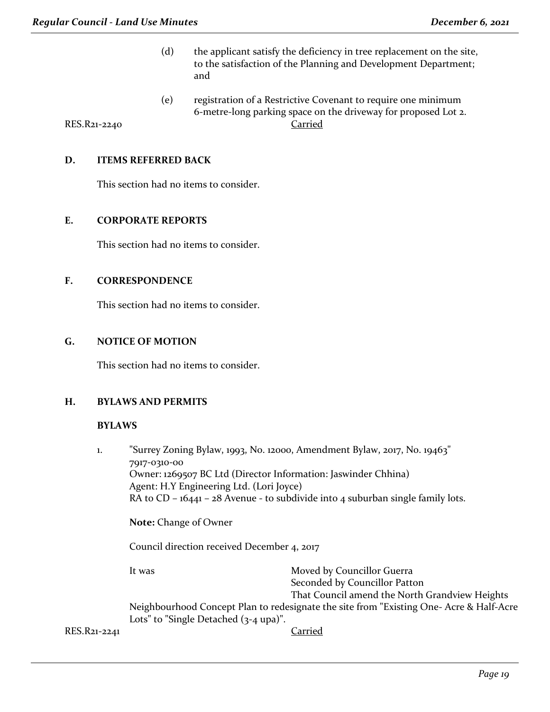- (d) the applicant satisfy the deficiency in tree replacement on the site, to the satisfaction of the Planning and Development Department; and
- (e) registration of a Restrictive Covenant to require one minimum 6-metre-long parking space on the driveway for proposed Lot 2. RES.R21-2240 Carried

**D. ITEMS REFERRED BACK**

This section had no items to consider.

#### **E. CORPORATE REPORTS**

This section had no items to consider.

#### **F. CORRESPONDENCE**

This section had no items to consider.

## **G. NOTICE OF MOTION**

This section had no items to consider.

#### **H. BYLAWS AND PERMITS**

#### **BYLAWS**

1. "Surrey Zoning Bylaw, 1993, No. 12000, Amendment Bylaw, 2017, No. 19463" 7917-0310-00 Owner: 1269507 BC Ltd (Director Information: Jaswinder Chhina) Agent: H.Y Engineering Ltd. (Lori Joyce) RA to CD – 16441 – 28 Avenue - to subdivide into 4 suburban single family lots. **Note:** Change of Owner Council direction received December 4, 2017 It was **Moved by Councillor Guerra** Seconded by Councillor Patton That Council amend the North Grandview Heights Neighbourhood Concept Plan to redesignate the site from "Existing One- Acre & Half-Acre Lots" to "Single Detached  $(3-4 \text{ upa})$ ".

RES.R21-2241 Carried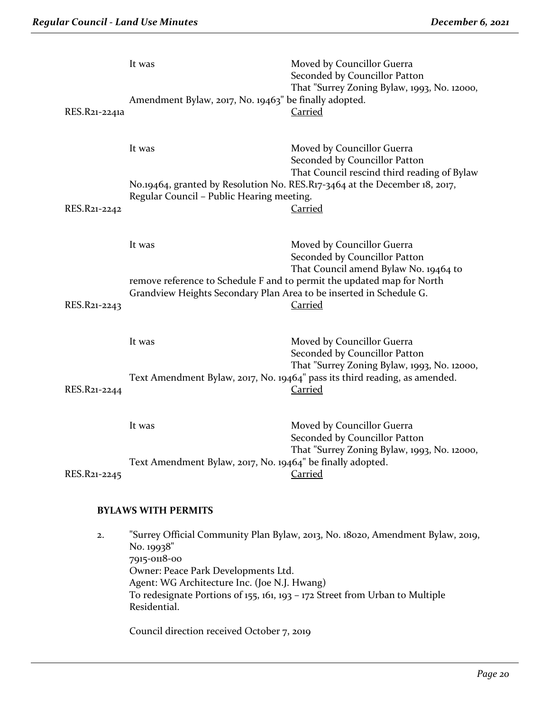| RES.R21-2241a              | It was<br>Amendment Bylaw, 2017, No. 19463" be finally adopted.                                                                                                                                                                                                                                     | Moved by Councillor Guerra<br>Seconded by Councillor Patton<br>That "Surrey Zoning Bylaw, 1993, No. 12000,<br><b>Carried</b>                                                                               |  |
|----------------------------|-----------------------------------------------------------------------------------------------------------------------------------------------------------------------------------------------------------------------------------------------------------------------------------------------------|------------------------------------------------------------------------------------------------------------------------------------------------------------------------------------------------------------|--|
| RES.R21-2242               | It was<br>Regular Council - Public Hearing meeting.                                                                                                                                                                                                                                                 | Moved by Councillor Guerra<br>Seconded by Councillor Patton<br>That Council rescind third reading of Bylaw<br>No.19464, granted by Resolution No. RES.R17-3464 at the December 18, 2017,<br><b>Carried</b> |  |
| RES.R21-2243               | It was<br>remove reference to Schedule F and to permit the updated map for North<br>Grandview Heights Secondary Plan Area to be inserted in Schedule G.                                                                                                                                             | Moved by Councillor Guerra<br>Seconded by Councillor Patton<br>That Council amend Bylaw No. 19464 to<br><u>Carried</u>                                                                                     |  |
| RES.R21-2244               | It was                                                                                                                                                                                                                                                                                              | Moved by Councillor Guerra<br>Seconded by Councillor Patton<br>That "Surrey Zoning Bylaw, 1993, No. 12000,<br>Text Amendment Bylaw, 2017, No. 19464" pass its third reading, as amended.<br><b>Carried</b> |  |
| RES.R21-2245               | It was<br>Text Amendment Bylaw, 2017, No. 19464" be finally adopted.                                                                                                                                                                                                                                | Moved by Councillor Guerra<br>Seconded by Councillor Patton<br>That "Surrey Zoning Bylaw, 1993, No. 12000,<br><b>Carried</b>                                                                               |  |
| <b>BYLAWS WITH PERMITS</b> |                                                                                                                                                                                                                                                                                                     |                                                                                                                                                                                                            |  |
| 2.                         | "Surrey Official Community Plan Bylaw, 2013, No. 18020, Amendment Bylaw, 2019,<br>No. 19938"<br>7915-0118-00<br>Owner: Peace Park Developments Ltd.<br>Agent: WG Architecture Inc. (Joe N.J. Hwang)<br>To redesignate Portions of 155, 161, 193 – 172 Street from Urban to Multiple<br>Residential. |                                                                                                                                                                                                            |  |

Council direction received October 7, 2019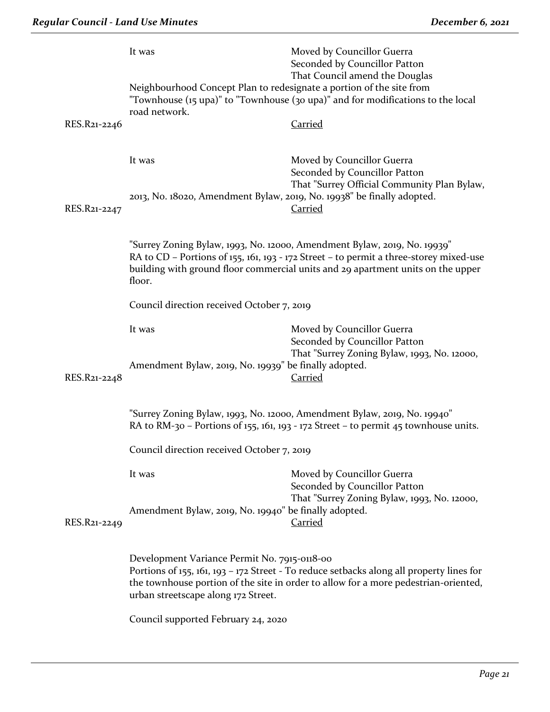|                                                                                                                                                                                                                                                                        | It was                                                                                                                                                                      | Moved by Councillor Guerra<br>Seconded by Councillor Patton<br>That Council amend the Douglas                                                                                                                                                         |  |  |
|------------------------------------------------------------------------------------------------------------------------------------------------------------------------------------------------------------------------------------------------------------------------|-----------------------------------------------------------------------------------------------------------------------------------------------------------------------------|-------------------------------------------------------------------------------------------------------------------------------------------------------------------------------------------------------------------------------------------------------|--|--|
|                                                                                                                                                                                                                                                                        | road network.                                                                                                                                                               | Neighbourhood Concept Plan to redesignate a portion of the site from<br>"Townhouse (15 upa)" to "Townhouse (30 upa)" and for modifications to the local                                                                                               |  |  |
| RES.R21-2246                                                                                                                                                                                                                                                           |                                                                                                                                                                             | <b>Carried</b>                                                                                                                                                                                                                                        |  |  |
|                                                                                                                                                                                                                                                                        | It was                                                                                                                                                                      | Moved by Councillor Guerra<br>Seconded by Councillor Patton                                                                                                                                                                                           |  |  |
| RES.R21-2247                                                                                                                                                                                                                                                           | 2013, No. 18020, Amendment Bylaw, 2019, No. 19938" be finally adopted.                                                                                                      | That "Surrey Official Community Plan Bylaw,<br><b>Carried</b>                                                                                                                                                                                         |  |  |
|                                                                                                                                                                                                                                                                        | floor.                                                                                                                                                                      | "Surrey Zoning Bylaw, 1993, No. 12000, Amendment Bylaw, 2019, No. 19939"<br>RA to CD - Portions of 155, 161, 193 - 172 Street - to permit a three-storey mixed-use<br>building with ground floor commercial units and 29 apartment units on the upper |  |  |
|                                                                                                                                                                                                                                                                        | Council direction received October 7, 2019                                                                                                                                  |                                                                                                                                                                                                                                                       |  |  |
|                                                                                                                                                                                                                                                                        | It was<br>Amendment Bylaw, 2019, No. 19939" be finally adopted.                                                                                                             | Moved by Councillor Guerra<br>Seconded by Councillor Patton<br>That "Surrey Zoning Bylaw, 1993, No. 12000,                                                                                                                                            |  |  |
| RES.R21-2248                                                                                                                                                                                                                                                           | Carried<br>"Surrey Zoning Bylaw, 1993, No. 12000, Amendment Bylaw, 2019, No. 19940"<br>RA to RM-30 – Portions of 155, 161, 193 - 172 Street – to permit 45 townhouse units. |                                                                                                                                                                                                                                                       |  |  |
|                                                                                                                                                                                                                                                                        |                                                                                                                                                                             |                                                                                                                                                                                                                                                       |  |  |
|                                                                                                                                                                                                                                                                        | Council direction received October 7, 2019                                                                                                                                  |                                                                                                                                                                                                                                                       |  |  |
|                                                                                                                                                                                                                                                                        | It was                                                                                                                                                                      | Moved by Councillor Guerra<br>Seconded by Councillor Patton                                                                                                                                                                                           |  |  |
| RES.R21-2249                                                                                                                                                                                                                                                           | Amendment Bylaw, 2019, No. 19940" be finally adopted.                                                                                                                       | That "Surrey Zoning Bylaw, 1993, No. 12000,<br><b>Carried</b>                                                                                                                                                                                         |  |  |
| Development Variance Permit No. 7915-0118-00<br>Portions of 155, 161, 193 - 172 Street - To reduce setbacks along all property lines for<br>the townhouse portion of the site in order to allow for a more pedestrian-oriented,<br>urban streetscape along 172 Street. |                                                                                                                                                                             |                                                                                                                                                                                                                                                       |  |  |

Council supported February 24, 2020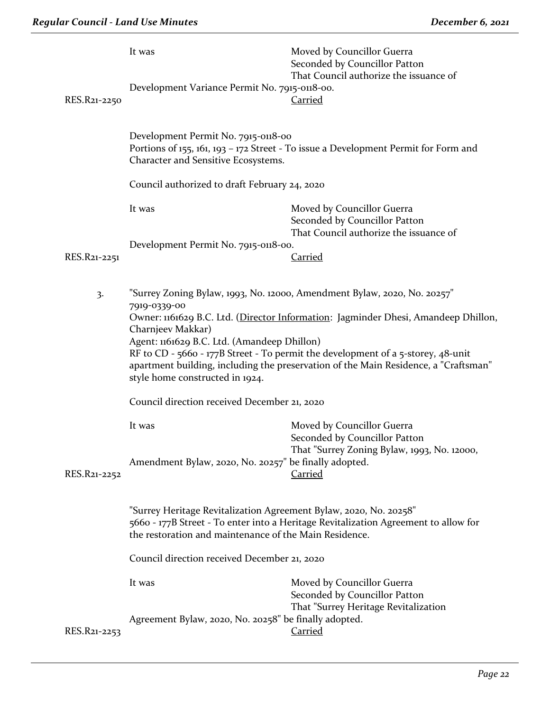|  | RES.R21-2250 | It was<br>Development Variance Permit No. 7915-0118-00.                                                                                                                                                            | Moved by Councillor Guerra<br>Seconded by Councillor Patton<br>That Council authorize the issuance of<br><b>Carried</b>                                                                                                                                                                                                                   |  |
|--|--------------|--------------------------------------------------------------------------------------------------------------------------------------------------------------------------------------------------------------------|-------------------------------------------------------------------------------------------------------------------------------------------------------------------------------------------------------------------------------------------------------------------------------------------------------------------------------------------|--|
|  |              | Development Permit No. 7915-0118-00<br>Portions of 155, 161, 193 - 172 Street - To issue a Development Permit for Form and<br>Character and Sensitive Ecosystems.                                                  |                                                                                                                                                                                                                                                                                                                                           |  |
|  |              | Council authorized to draft February 24, 2020                                                                                                                                                                      |                                                                                                                                                                                                                                                                                                                                           |  |
|  |              | It was                                                                                                                                                                                                             | Moved by Councillor Guerra<br>Seconded by Councillor Patton                                                                                                                                                                                                                                                                               |  |
|  |              | Development Permit No. 7915-0118-00.                                                                                                                                                                               | That Council authorize the issuance of                                                                                                                                                                                                                                                                                                    |  |
|  | RES.R21-2251 |                                                                                                                                                                                                                    | <b>Carried</b>                                                                                                                                                                                                                                                                                                                            |  |
|  | 3.           | 7919-0339-00<br>Charnjeev Makkar)<br>Agent: 1161629 B.C. Ltd. (Amandeep Dhillon)<br>style home constructed in 1924.                                                                                                | "Surrey Zoning Bylaw, 1993, No. 12000, Amendment Bylaw, 2020, No. 20257"<br>Owner: 1161629 B.C. Ltd. (Director Information: Jagminder Dhesi, Amandeep Dhillon,<br>RF to CD - 5660 - 177B Street - To permit the development of a 5-storey, 48-unit<br>apartment building, including the preservation of the Main Residence, a "Craftsman" |  |
|  |              | Council direction received December 21, 2020                                                                                                                                                                       |                                                                                                                                                                                                                                                                                                                                           |  |
|  |              | It was<br>Amendment Bylaw, 2020, No. 20257" be finally adopted.                                                                                                                                                    | Moved by Councillor Guerra<br>Seconded by Councillor Patton<br>That "Surrey Zoning Bylaw, 1993, No. 12000,                                                                                                                                                                                                                                |  |
|  | RES.R21-2252 |                                                                                                                                                                                                                    | Carried                                                                                                                                                                                                                                                                                                                                   |  |
|  |              | "Surrey Heritage Revitalization Agreement Bylaw, 2020, No. 20258"<br>5660 - 177B Street - To enter into a Heritage Revitalization Agreement to allow for<br>the restoration and maintenance of the Main Residence. |                                                                                                                                                                                                                                                                                                                                           |  |
|  |              | Council direction received December 21, 2020                                                                                                                                                                       |                                                                                                                                                                                                                                                                                                                                           |  |
|  |              | It was                                                                                                                                                                                                             | Moved by Councillor Guerra<br>Seconded by Councillor Patton<br>That "Surrey Heritage Revitalization                                                                                                                                                                                                                                       |  |
|  | RES.R21-2253 | Agreement Bylaw, 2020, No. 20258" be finally adopted.                                                                                                                                                              | Carried                                                                                                                                                                                                                                                                                                                                   |  |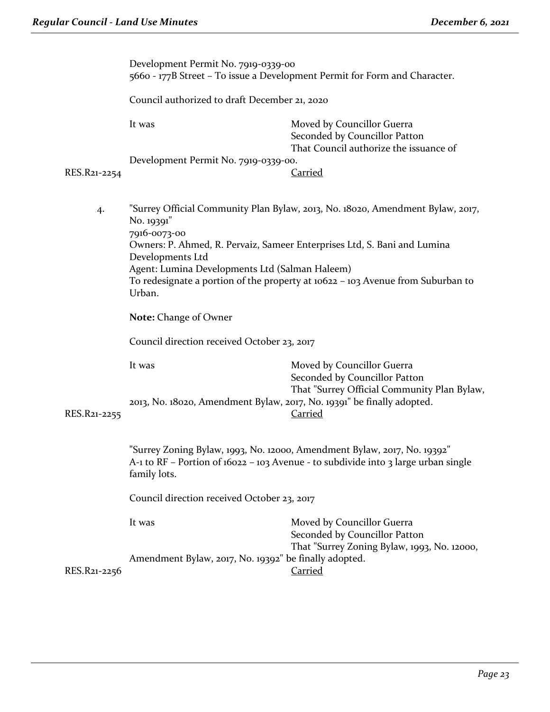|              | Development Permit No. 7919-0339-00<br>5660 - 177B Street – To issue a Development Permit for Form and Character.                                                              |                                                                                                            |  |  |  |
|--------------|--------------------------------------------------------------------------------------------------------------------------------------------------------------------------------|------------------------------------------------------------------------------------------------------------|--|--|--|
|              | Council authorized to draft December 21, 2020                                                                                                                                  |                                                                                                            |  |  |  |
|              | It was                                                                                                                                                                         | Moved by Councillor Guerra<br>Seconded by Councillor Patton<br>That Council authorize the issuance of      |  |  |  |
|              |                                                                                                                                                                                | Development Permit No. 7919-0339-00.                                                                       |  |  |  |
| RES.R21-2254 |                                                                                                                                                                                | <b>Carried</b>                                                                                             |  |  |  |
| 4.           | "Surrey Official Community Plan Bylaw, 2013, No. 18020, Amendment Bylaw, 2017,<br>No. 19391"<br>7916-0073-00                                                                   |                                                                                                            |  |  |  |
|              | Owners: P. Ahmed, R. Pervaiz, Sameer Enterprises Ltd, S. Bani and Lumina<br>Developments Ltd                                                                                   |                                                                                                            |  |  |  |
|              | Agent: Lumina Developments Ltd (Salman Haleem)<br>To redesignate a portion of the property at 10622 – 103 Avenue from Suburban to<br>Urban.                                    |                                                                                                            |  |  |  |
|              | <b>Note: Change of Owner</b>                                                                                                                                                   |                                                                                                            |  |  |  |
|              | Council direction received October 23, 2017                                                                                                                                    |                                                                                                            |  |  |  |
|              | It was                                                                                                                                                                         | Moved by Councillor Guerra<br>Seconded by Councillor Patton                                                |  |  |  |
| RES.R21-2255 | 2013, No. 18020, Amendment Bylaw, 2017, No. 19391" be finally adopted.                                                                                                         | That "Surrey Official Community Plan Bylaw,<br><b>Carried</b>                                              |  |  |  |
|              | "Surrey Zoning Bylaw, 1993, No. 12000, Amendment Bylaw, 2017, No. 19392"<br>A-1 to RF - Portion of 16022 - 103 Avenue - to subdivide into 3 large urban single<br>family lots. |                                                                                                            |  |  |  |
|              | Council direction received October 23, 2017                                                                                                                                    |                                                                                                            |  |  |  |
|              | It was                                                                                                                                                                         | Moved by Councillor Guerra<br>Seconded by Councillor Patton<br>That "Surrey Zoning Bylaw, 1993, No. 12000, |  |  |  |
| RES.R21-2256 | Amendment Bylaw, 2017, No. 19392" be finally adopted.                                                                                                                          | <b>Carried</b>                                                                                             |  |  |  |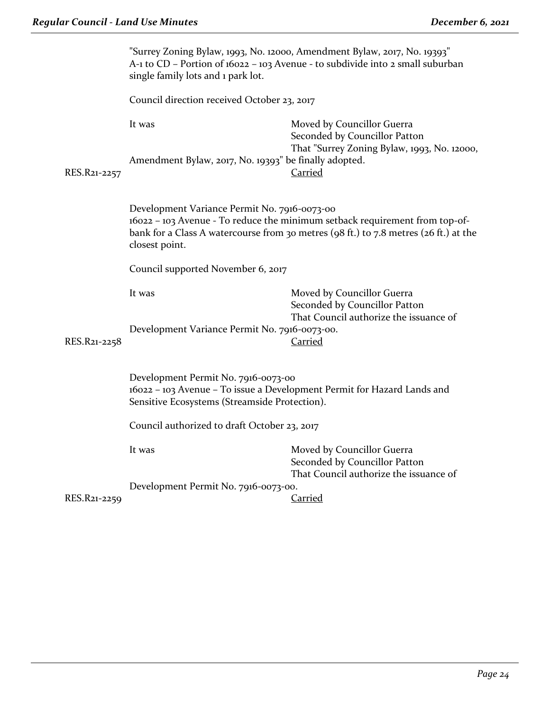|              | "Surrey Zoning Bylaw, 1993, No. 12000, Amendment Bylaw, 2017, No. 19393"<br>A-1 to CD - Portion of 16022 - 103 Avenue - to subdivide into 2 small suburban<br>single family lots and 1 park lot. |                                                                                                                                                                     |  |
|--------------|--------------------------------------------------------------------------------------------------------------------------------------------------------------------------------------------------|---------------------------------------------------------------------------------------------------------------------------------------------------------------------|--|
|              | Council direction received October 23, 2017                                                                                                                                                      |                                                                                                                                                                     |  |
|              | It was                                                                                                                                                                                           | Moved by Councillor Guerra<br>Seconded by Councillor Patton<br>That "Surrey Zoning Bylaw, 1993, No. 12000,                                                          |  |
| RES.R21-2257 | Amendment Bylaw, 2017, No. 19393" be finally adopted.                                                                                                                                            | Carried                                                                                                                                                             |  |
|              | Development Variance Permit No. 7916-0073-00<br>closest point.                                                                                                                                   | 16022 - 103 Avenue - To reduce the minimum setback requirement from top-of-<br>bank for a Class A watercourse from 30 metres (98 ft.) to 7.8 metres (26 ft.) at the |  |
|              | Council supported November 6, 2017                                                                                                                                                               |                                                                                                                                                                     |  |
|              | It was                                                                                                                                                                                           | Moved by Councillor Guerra<br>Seconded by Councillor Patton<br>That Council authorize the issuance of                                                               |  |
| RES.R21-2258 | Development Variance Permit No. 7916-0073-00.                                                                                                                                                    | Carried                                                                                                                                                             |  |
|              | Development Permit No. 7916-0073-00<br>16022 - 103 Avenue - To issue a Development Permit for Hazard Lands and<br>Sensitive Ecosystems (Streamside Protection).                                  |                                                                                                                                                                     |  |
|              | Council authorized to draft October 23, 2017                                                                                                                                                     |                                                                                                                                                                     |  |
|              | It was                                                                                                                                                                                           | Moved by Councillor Guerra<br>Seconded by Councillor Patton<br>That Council authorize the issuance of                                                               |  |
|              | Development Permit No. 7916-0073-00.                                                                                                                                                             |                                                                                                                                                                     |  |
| RES.R21-2259 |                                                                                                                                                                                                  | Carried                                                                                                                                                             |  |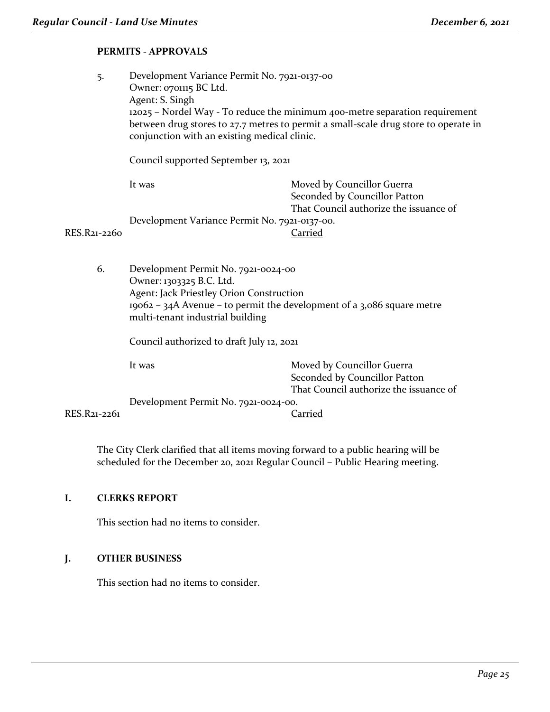# **PERMITS - APPROVALS**

5. Development Variance Permit No. 7921-0137-00 Owner: 0701115 BC Ltd. Agent: S. Singh 12025 – Nordel Way - To reduce the minimum 400-metre separation requirement between drug stores to 27.7 metres to permit a small-scale drug store to operate in conjunction with an existing medical clinic.

Council supported September 13, 2021

|              | It was                                        | Moved by Councillor Guerra             |
|--------------|-----------------------------------------------|----------------------------------------|
|              |                                               | Seconded by Councillor Patton          |
|              |                                               | That Council authorize the issuance of |
|              | Development Variance Permit No. 7921-0137-00. |                                        |
| RES.R21-2260 |                                               | Carried                                |

6. Development Permit No. 7921-0024-00 Owner: 1303325 B.C. Ltd. Agent: Jack Priestley Orion Construction 19062 – 34A Avenue – to permit the development of a 3,086 square metre multi-tenant industrial building

Council authorized to draft July 12, 2021

It was **Moved by Councillor Guerra** Seconded by Councillor Patton That Council authorize the issuance of

Development Permit No. 7921-0024-00.

RES.R21-2261 Carried

The City Clerk clarified that all items moving forward to a public hearing will be scheduled for the December 20, 2021 Regular Council – Public Hearing meeting.

# **I. CLERKS REPORT**

This section had no items to consider.

# **J. OTHER BUSINESS**

This section had no items to consider.